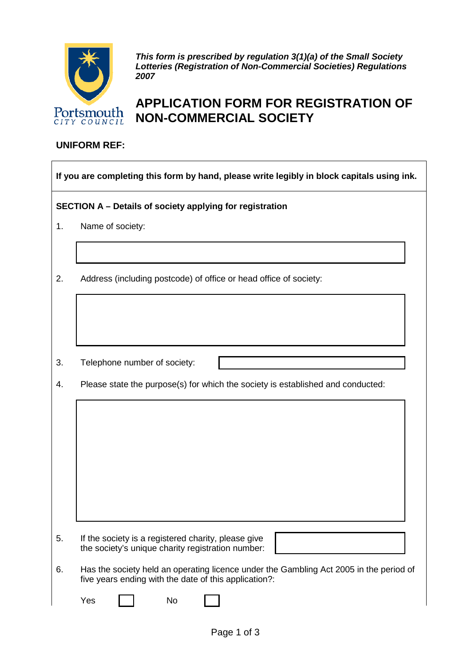

*This form is prescribed by regulation 3(1)(a) of the Small Society Lotteries (Registration of Non-Commercial Societies) Regulations 2007*

## **APPLICATION FORM FOR REGISTRATION OF NON-COMMERCIAL SOCIETY**

## **UNIFORM REF:**

| If you are completing this form by hand, please write legibly in block capitals using ink. |                                                                                                                                                 |  |  |  |
|--------------------------------------------------------------------------------------------|-------------------------------------------------------------------------------------------------------------------------------------------------|--|--|--|
| SECTION A - Details of society applying for registration                                   |                                                                                                                                                 |  |  |  |
| 1.                                                                                         | Name of society:                                                                                                                                |  |  |  |
|                                                                                            |                                                                                                                                                 |  |  |  |
| 2.                                                                                         | Address (including postcode) of office or head office of society:                                                                               |  |  |  |
|                                                                                            |                                                                                                                                                 |  |  |  |
|                                                                                            |                                                                                                                                                 |  |  |  |
| 3.                                                                                         | Telephone number of society:                                                                                                                    |  |  |  |
| 4.                                                                                         | Please state the purpose(s) for which the society is established and conducted:                                                                 |  |  |  |
|                                                                                            |                                                                                                                                                 |  |  |  |
|                                                                                            |                                                                                                                                                 |  |  |  |
|                                                                                            |                                                                                                                                                 |  |  |  |
|                                                                                            |                                                                                                                                                 |  |  |  |
|                                                                                            |                                                                                                                                                 |  |  |  |
|                                                                                            |                                                                                                                                                 |  |  |  |
| 5.                                                                                         | If the society is a registered charity, please give<br>the society's unique charity registration number:                                        |  |  |  |
| 6.                                                                                         | Has the society held an operating licence under the Gambling Act 2005 in the period of<br>five years ending with the date of this application?: |  |  |  |
|                                                                                            | Yes<br>No                                                                                                                                       |  |  |  |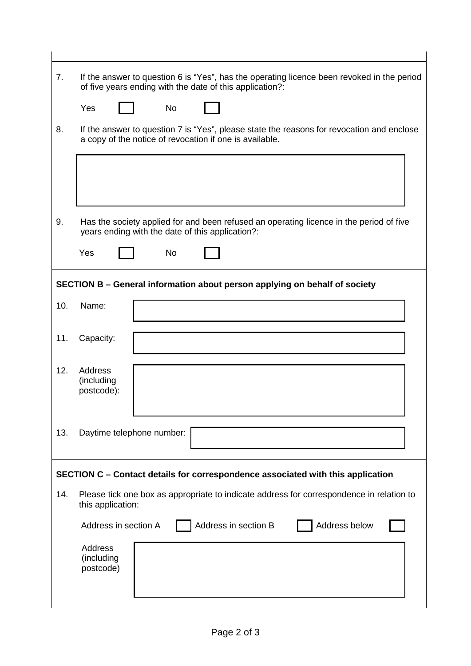| 7.                                                                              | If the answer to question 6 is "Yes", has the operating licence been revoked in the period<br>of five years ending with the date of this application?: |  |  |  |
|---------------------------------------------------------------------------------|--------------------------------------------------------------------------------------------------------------------------------------------------------|--|--|--|
|                                                                                 | <b>No</b><br>Yes                                                                                                                                       |  |  |  |
| 8.                                                                              | If the answer to question 7 is "Yes", please state the reasons for revocation and enclose<br>a copy of the notice of revocation if one is available.   |  |  |  |
|                                                                                 |                                                                                                                                                        |  |  |  |
|                                                                                 |                                                                                                                                                        |  |  |  |
| 9.                                                                              | Has the society applied for and been refused an operating licence in the period of five<br>years ending with the date of this application?:            |  |  |  |
|                                                                                 | Yes<br><b>No</b>                                                                                                                                       |  |  |  |
| SECTION B - General information about person applying on behalf of society      |                                                                                                                                                        |  |  |  |
| 10.                                                                             | Name:                                                                                                                                                  |  |  |  |
| 11.                                                                             | Capacity:                                                                                                                                              |  |  |  |
| 12.                                                                             | <b>Address</b><br>(including<br>postcode):                                                                                                             |  |  |  |
| 13.                                                                             | Daytime telephone number:                                                                                                                              |  |  |  |
| SECTION C - Contact details for correspondence associated with this application |                                                                                                                                                        |  |  |  |
| 14.                                                                             | Please tick one box as appropriate to indicate address for correspondence in relation to<br>this application:                                          |  |  |  |
|                                                                                 | Address in section B<br>Address below<br>Address in section A                                                                                          |  |  |  |
|                                                                                 | Address<br>(including<br>postcode)                                                                                                                     |  |  |  |
|                                                                                 |                                                                                                                                                        |  |  |  |